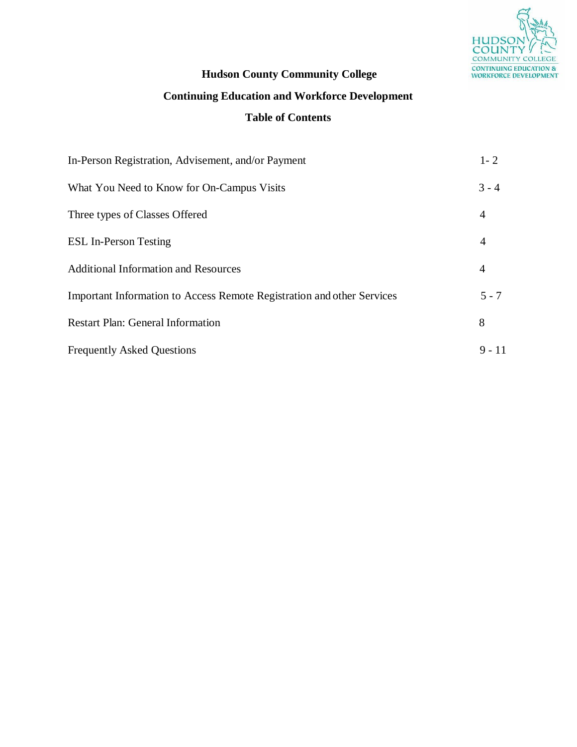

## **Hudson County Community College**

# **Continuing Education and Workforce Development**

## **Table of Contents**

| In-Person Registration, Advisement, and/or Payment                     | $1 - 2$        |
|------------------------------------------------------------------------|----------------|
| What You Need to Know for On-Campus Visits                             | $3 - 4$        |
| Three types of Classes Offered                                         | 4              |
| <b>ESL In-Person Testing</b>                                           | $\overline{4}$ |
| <b>Additional Information and Resources</b>                            | $\overline{4}$ |
| Important Information to Access Remote Registration and other Services | $5 - 7$        |
| <b>Restart Plan: General Information</b>                               | 8              |
| <b>Frequently Asked Questions</b>                                      | $9 - 11$       |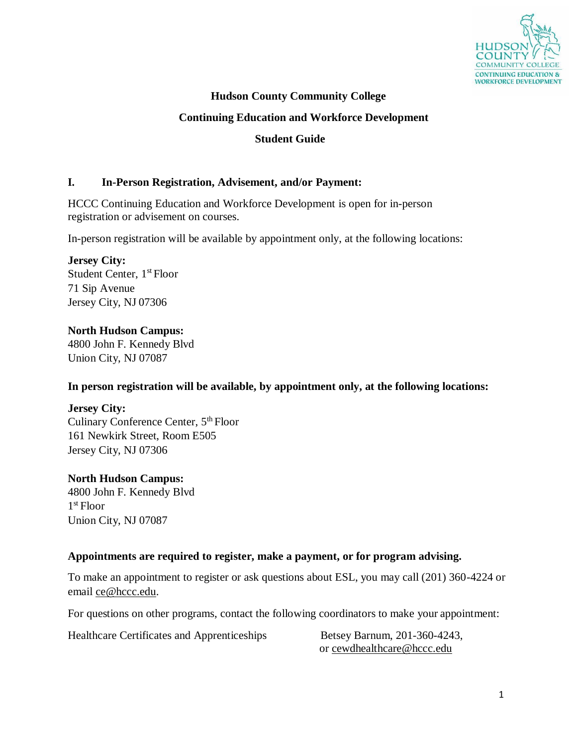

## **Hudson County Community College**

#### **Continuing Education and Workforce Development**

#### **Student Guide**

#### **I. In-Person Registration, Advisement, and/or Payment:**

HCCC Continuing Education and Workforce Development is open for in-person registration or advisement on courses.

In-person registration will be available by appointment only, at the following locations:

## **Jersey City:** Student Center, 1<sup>st</sup> Floor 71 Sip Avenue

Jersey City, NJ 07306

## **North Hudson Campus:**

4800 John F. Kennedy Blvd Union City, NJ 07087

#### **In person registration will be available, by appointment only, at the following locations:**

#### **Jersey City:**

Culinary Conference Center, 5<sup>th</sup> Floor 161 Newkirk Street, Room E505 Jersey City, NJ 07306

#### **North Hudson Campus:**

4800 John F. Kennedy Blvd 1 st Floor Union City, NJ 07087

#### **Appointments are required to register, make a payment, or for program advising.**

To make an appointment to register or ask questions about ESL, you may call (201) 360-4224 or email [ce@hccc.edu.](mailto:ce@hccc.edu)

For questions on other programs, contact the following coordinators to make your appointment:

Healthcare Certificates and Apprenticeships Betsey Barnum, 201-360-4243,

or [cewdhealthcare@hccc.edu](mailto:cewdhealthcare@hccc.edu)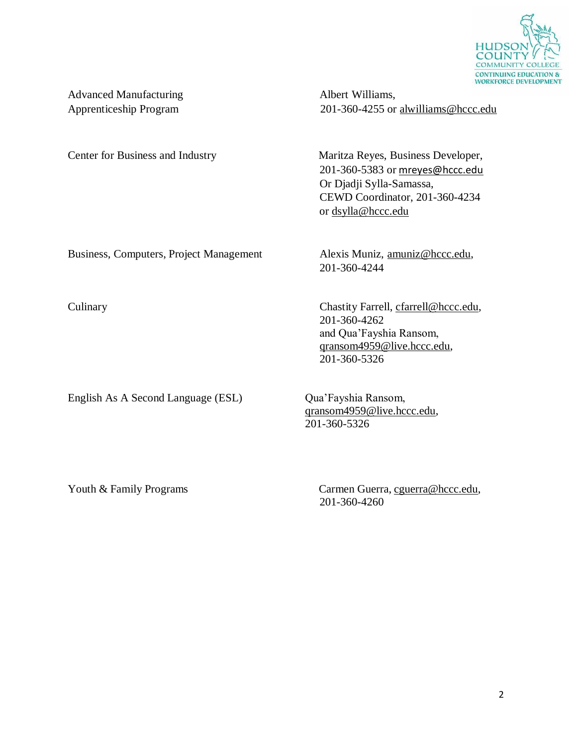

Advanced Manufacturing Albert Williams,

Apprenticeship Program 201-360-4255 or [alwilliams@hccc.edu](mailto:alwilliams@hccc.edu)

Center for Business and Industry Maritza Reyes, Business Developer, 201-360-5383 or [mreyes@hccc.edu](mailto:mreyes@hccc.edu) Or Djadji Sylla-Samassa, CEWD Coordinator, 201-360-4234 or [dsylla@hccc.edu](mailto:dsylla@hccc.edu)

Business, Computers, Project Management Alexis Muniz, [amuniz@hccc.edu,](mailto:amuniz@hccc.edu)

English As A Second Language (ESL) Qua'Fayshia Ransom,

Culinary Chastity Farrell, [cfarrell@hccc.edu,](mailto:cfarrell@hccc.edu) 201-360-4262 and Qua'Fayshia Ransom, [qransom4959@live.hccc.edu,](mailto:qransom4959@live.hccc.edu) 201-360-5326

> [qransom4959@live.hccc.edu,](mailto:qransom4959@live.hccc.edu) 201-360-5326

201-360-4244

Youth & Family Programs Carmen Guerra, [cguerra@hccc.edu,](mailto:cguerra@hccc.edu) 201-360-4260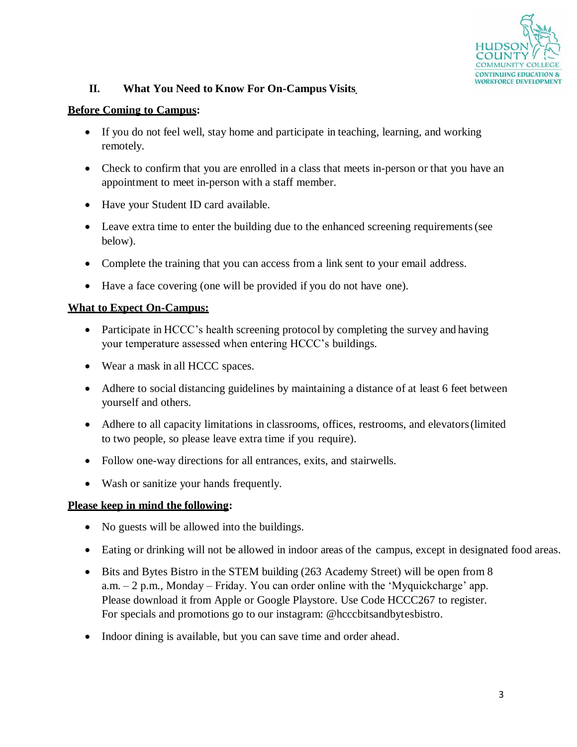

## **II. What You Need to Know For On-Campus Visits**

## **Before Coming to Campus:**

- If you do not feel well, stay home and participate in teaching, learning, and working remotely.
- Check to confirm that you are enrolled in a class that meets in-person or that you have an appointment to meet in-person with a staff member.
- Have your Student ID card available.
- Leave extra time to enter the building due to the enhanced screening requirements (see below).
- Complete the training that you can access from a link sent to your email address.
- Have a face covering (one will be provided if you do not have one).

## **What to Expect On-Campus:**

- Participate in HCCC's health screening protocol by completing the survey and having your temperature assessed when entering HCCC's buildings.
- Wear a mask in all HCCC spaces.
- Adhere to social distancing guidelines by maintaining a distance of at least 6 feet between yourself and others.
- Adhere to all capacity limitations in classrooms, offices, restrooms, and elevators(limited to two people, so please leave extra time if you require).
- Follow one-way directions for all entrances, exits, and stairwells.
- Wash or sanitize your hands frequently.

#### **Please keep in mind the following:**

- No guests will be allowed into the buildings.
- Eating or drinking will not be allowed in indoor areas of the campus, except in designated food areas.
- Bits and Bytes Bistro in the STEM building (263 Academy Street) will be open from 8 a.m. – 2 p.m., Monday – Friday. You can order online with the 'Myquickcharge' app. Please download it from Apple or Google Playstore. Use Code HCCC267 to register. For specials and promotions go to our instagram: @hcccbitsandbytesbistro.
- Indoor dining is available, but you can save time and order ahead.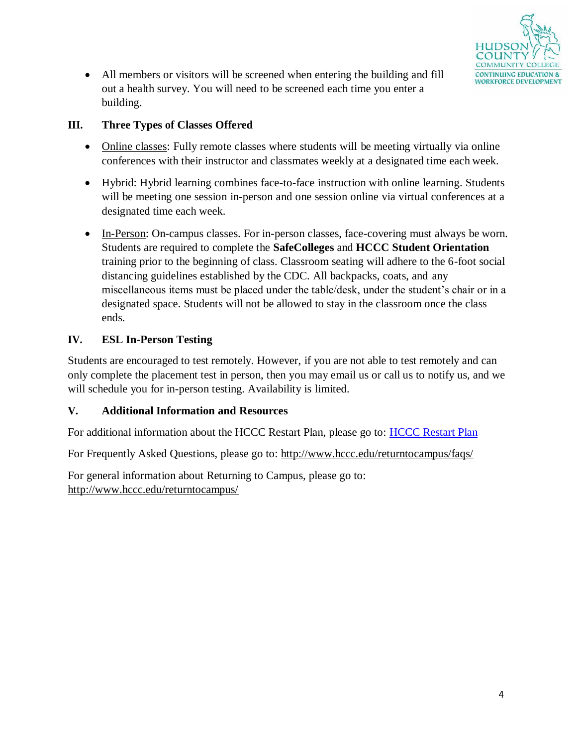

 All members or visitors will be screened when entering the building and fill out a health survey. You will need to be screened each time you enter a building.

## **III. Three Types of Classes Offered**

- Online classes: Fully remote classes where students will be meeting virtually via online conferences with their instructor and classmates weekly at a designated time each week.
- Hybrid: Hybrid learning combines face-to-face instruction with online learning. Students will be meeting one session in-person and one session online via virtual conferences at a designated time each week.
- In-Person: On-campus classes. For in-person classes, face-covering must always be worn. Students are required to complete the **SafeColleges** and **HCCC Student Orientation** training prior to the beginning of class. Classroom seating will adhere to the 6-foot social distancing guidelines established by the CDC. All backpacks, coats, and any miscellaneous items must be placed under the table/desk, under the student's chair or in a designated space. Students will not be allowed to stay in the classroom once the class ends.

## **IV. ESL In-Person Testing**

Students are encouraged to test remotely. However, if you are not able to test remotely and can only complete the placement test in person, then you may email us or call us to notify us, and we will schedule you for in-person testing. Availability is limited.

## **V. Additional Information and Resources**

For additional information about the HCCC Restart Plan, please go to: [HCCC Restart Plan](http://www.hccc.edu/uploadedFiles/Pages/Campus_Life/Return_To_Campus/HCCC%20Restart%20Plan_Final%20for%20OSHE%207.22.2020%20with%20addenda%208.12.2020.pdf)

For Frequently Asked Questions, please go to:<http://www.hccc.edu/returntocampus/faqs/>

For general information about Returning to Campus, please go to: <http://www.hccc.edu/returntocampus/>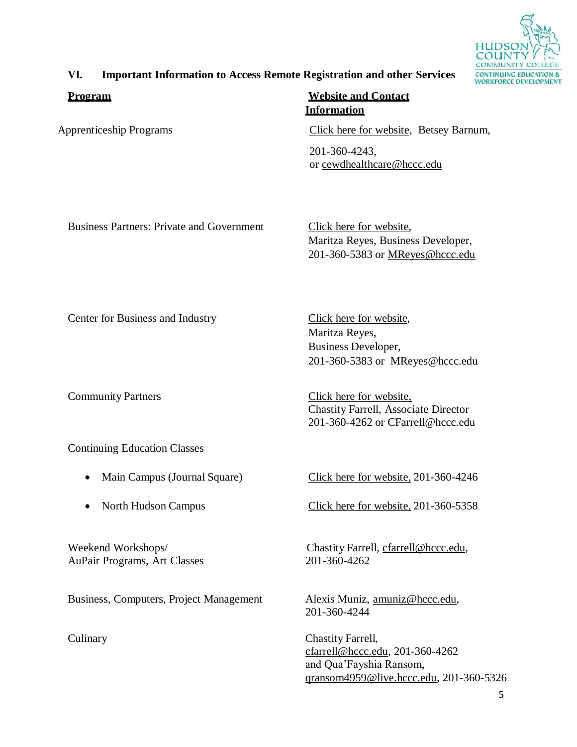

## **VI. Important Information to Access Remote Registration and other Services**

**Program Website and Contact Information**

Apprenticeship Programs [Click here for website,](https://www.hccc.edu/apprenticeship/) Betsey Barnum,

201-360-4243, or [cewdhealthcare@hccc.edu](mailto:cewdhealthcare@hccc.edu)

Business Partners: Private and Government [Click here for](https://www.hccc.edu/businesscommunity/) website,

Maritza Reyes, Business Developer, 201-360-5383 or [MReyes@hccc.edu](mailto:MReyes@hccc.edu)

Center for Business and Industry [Click here for website,](https://www.hccc.edu/businesscommunity/)

Continuing Education Classes

- 
- 

AuPair Programs, Art Classes 201-360-4262

Business, Computers, Project Management Alexis Muniz, [amuniz@hccc.edu,](mailto:amuniz@hccc.edu)

Maritza Reyes, Business Developer, 201-360-5383 or [MReyes@hccc.edu](mailto:MReyes@hccc.edu)

Community Partners [Click here for](https://www.hccc.edu/communityeducation/) website, Chastity Farrell, Associate Director 201-360-4262 or [CFarrell@hccc.edu](mailto:CFarrell@hccc.edu)

• Main Campus (Journal Square) [Click here for website,](https://www.hccc.edu/communityeducation/) 201-360-4246

• North Hudson Campus [Click here for website,](https://www.hccc.edu/communityeducation/) 201-360-5358

Weekend Workshops/ Chastity Farrell, [cfarrell@hccc.edu,](mailto:cfarrell@hccc.edu)

201-360-4244

Culinary Chastity Farrell, [cfarrell@hccc.edu, 2](mailto:cfarrell@hccc.edu)01-360-4262 and Qua'Fayshia Ransom, [qransom4959@live.hccc.edu, 2](mailto:qransom4959@live.hccc.edu)01-360-5326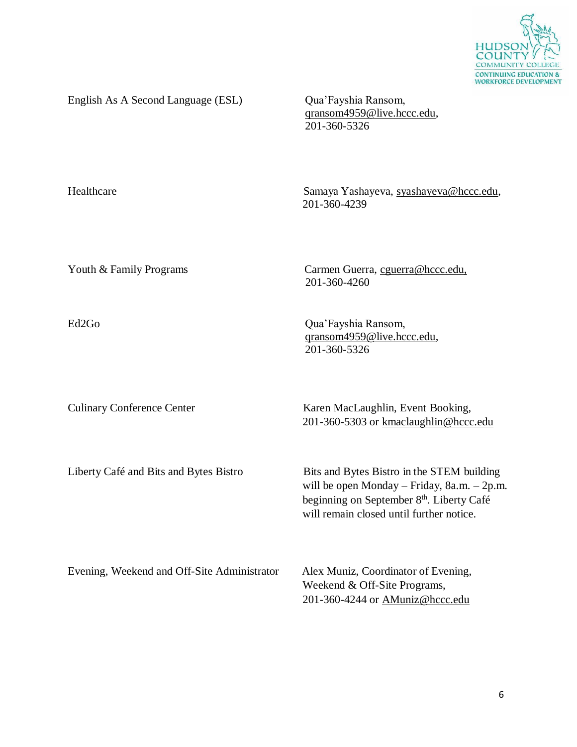

English As A Second Language (ESL) Qua'Fayshia Ransom,

[qransom4959@live.hccc.edu,](mailto:qransom4959@live.hccc.edu) 201-360-5326

Healthcare Samaya Yashayeva, [syashayeva@hccc.edu,](mailto:syashayeva@hccc.edu) 201-360-4239

Youth & Family Programs Carmen Guerra, [cguerra@hccc.edu,](mailto:cguerra@hccc.edu) 201-360-4260

Ed2Go Qua'Fayshia Ransom, [qransom4959@live.hccc.edu,](mailto:qransom4959@live.hccc.edu) 201-360-5326

Culinary Conference Center Karen MacLaughlin, Event Booking, 201-360-5303 or [kmaclaughlin@hccc.edu](mailto:kmaclaughlin@hccc.edu)

Liberty Café and Bits and Bytes Bistro Bits and Bytes Bistro in the STEM building will be open Monday – Friday, 8a.m. – 2p.m. beginning on September 8<sup>th</sup>. Liberty Café will remain closed until further notice.

Evening, Weekend and Off-Site Administrator Alex Muniz, Coordinator of Evening, Weekend & Off-Site Programs, 201-360-4244 or [AMuniz@hccc.edu](mailto:AMuniz@hccc.edu)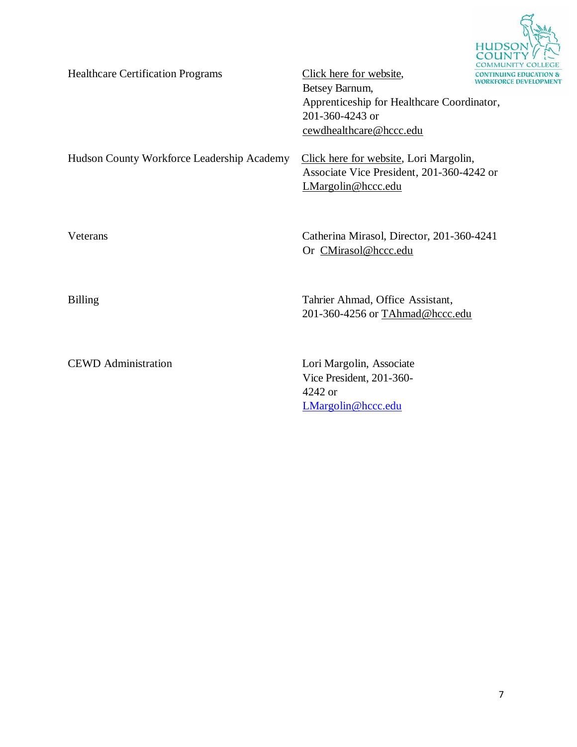

| <b>Healthcare Certification Programs</b>   | Click here for website,<br><b>CONTINU</b><br><b><i>NORKFO</i></b><br>Betsey Barnum,<br>Apprenticeship for Healthcare Coordinator,<br>201-360-4243 or<br>cewdhealthcare@hccc.edu |
|--------------------------------------------|---------------------------------------------------------------------------------------------------------------------------------------------------------------------------------|
| Hudson County Workforce Leadership Academy | Click here for website, Lori Margolin,<br>Associate Vice President, 201-360-4242 or<br>LMargolin@hccc.edu                                                                       |
| Veterans                                   | Catherina Mirasol, Director, 201-360-4241<br>Or CMirasol@hccc.edu                                                                                                               |
| <b>Billing</b>                             | Tahrier Ahmad, Office Assistant,<br>201-360-4256 or TAhmad@hccc.edu                                                                                                             |
| <b>CEWD</b> Administration                 | Lori Margolin, Associate<br>Vice President, 201-360-<br>4242 or<br>LMargolin@hccc.edu                                                                                           |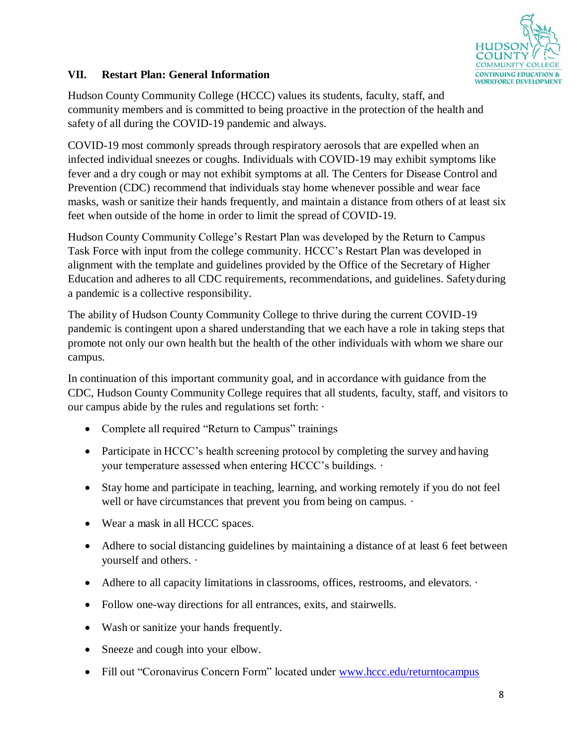

## **VII. Restart Plan: General Information**

Hudson County Community College (HCCC) values its students, faculty, staff, and community members and is committed to being proactive in the protection of the health and safety of all during the COVID-19 pandemic and always.

COVID-19 most commonly spreads through respiratory aerosols that are expelled when an infected individual sneezes or coughs. Individuals with COVID-19 may exhibit symptoms like fever and a dry cough or may not exhibit symptoms at all. The Centers for Disease Control and Prevention (CDC) recommend that individuals stay home whenever possible and wear face masks, wash or sanitize their hands frequently, and maintain a distance from others of at least six feet when outside of the home in order to limit the spread of COVID-19.

Hudson County Community College's Restart Plan was developed by the Return to Campus Task Force with input from the college community. HCCC's Restart Plan was developed in alignment with the template and guidelines provided by the Office of the Secretary of Higher Education and adheres to all CDC requirements, recommendations, and guidelines. Safetyduring a pandemic is a collective responsibility.

The ability of Hudson County Community College to thrive during the current COVID-19 pandemic is contingent upon a shared understanding that we each have a role in taking steps that promote not only our own health but the health of the other individuals with whom we share our campus.

In continuation of this important community goal, and in accordance with guidance from the CDC, Hudson County Community College requires that all students, faculty, staff, and visitors to our campus abide by the rules and regulations set forth: ·

- Complete all required "Return to Campus" trainings
- Participate in HCCC's health screening protocol by completing the survey and having your temperature assessed when entering HCCC's buildings. ·
- Stay home and participate in teaching, learning, and working remotely if you do not feel well or have circumstances that prevent you from being on campus.  $\cdot$
- Wear a mask in all HCCC spaces.
- Adhere to social distancing guidelines by maintaining a distance of at least 6 feet between yourself and others. ·
- Adhere to all capacity limitations in classrooms, offices, restrooms, and elevators.  $\cdot$
- Follow one-way directions for all entrances, exits, and stairwells.
- Wash or sanitize your hands frequently.
- Sneeze and cough into your elbow.
- Fill out "Coronavirus Concern Form" located under [www.hccc.edu/returntocampus](http://www.hccc.edu/returntocampus)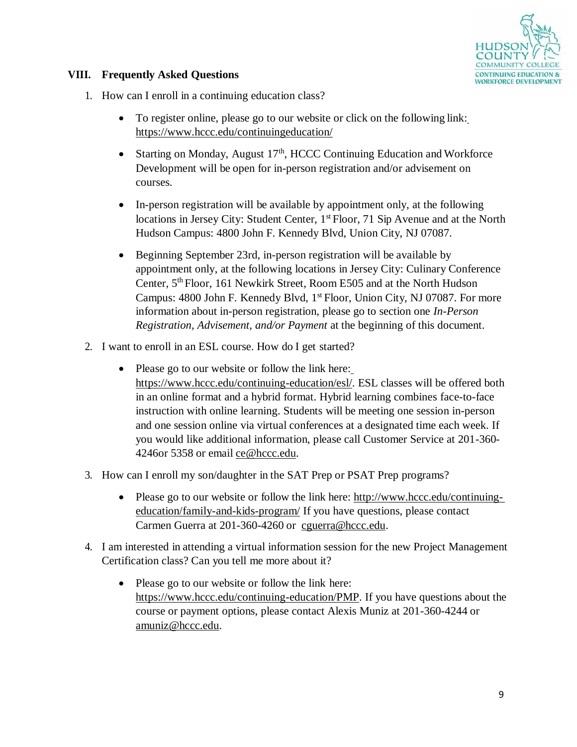

## **VIII. Frequently Asked Questions**

- 1. How can I enroll in a continuing education class?
	- To register online, please go to our website or click on the following link[:](https://www.hccc.edu/communityeducation/) [https://www.hccc.edu/continuingeducation/](https://www.hccc.edu/communityeducation/)
	- Starting on Monday, August  $17<sup>th</sup>$ , HCCC Continuing Education and Workforce Development will be open for in-person registration and/or advisement on courses.
	- In-person registration will be available by appointment only, at the following locations in Jersey City: Student Center, 1<sup>st</sup> Floor, 71 Sip Avenue and at the North Hudson Campus: 4800 John F. Kennedy Blvd, Union City, NJ 07087.
	- Beginning September 23rd, in-person registration will be available by appointment only, at the following locations in Jersey City: Culinary Conference Center, 5<sup>th</sup> Floor, 161 Newkirk Street, Room E505 and at the North Hudson Campus: 4800 John F. Kennedy Blvd, 1<sup>st</sup> Floor, Union City, NJ 07087. For more information about in-person registration, please go to section one *In-Person Registration, Advisement, and/or Payment* at the beginning of this document.
- 2. I want to enroll in an ESL course. How do I get started?
	- Please go to our website or follow the link here[:](https://www.hccc.edu/continuing-education/esl/) [https://www.hccc.edu/continuing-education/esl/. E](https://www.hccc.edu/continuing-education/esl/)SL classes will be offered both in an online format and a hybrid format. Hybrid learning combines face-to-face instruction with online learning. Students will be meeting one session in-person and one session online via virtual conferences at a designated time each week. If you would like additional information, please call Customer Service at 201-360- 4246or 5358 or email [ce@hccc.edu.](mailto:ce@hccc.edu)
- 3. How can I enroll my son/daughter in the SAT Prep or PSAT Prep programs?
	- Please go to our website or follow the link here: [http://www.hccc.edu/continuing](http://www.hccc.edu/continuing-education/family-and-kids-program/)[education/family-and-kids-program/](http://www.hccc.edu/continuing-education/family-and-kids-program/) If you have questions, please contact Carmen Guerra at 201-360-4260 or [cguerra@hccc.edu.](mailto:cguerra@hccc.edu)
- 4. I am interested in attending a virtual information session for the new Project Management Certification class? Can you tell me more about it?
	- Please go to our website or follow the link here: [https://www.hccc.edu/continuing-education/PMP. I](https://www.hccc.edu/continuing-education/PMP)f you have questions about the course or payment options, please contact Alexis Muniz at 201-360-4244 or [amuniz@hccc.edu.](mailto:amuniz@hccc.edu)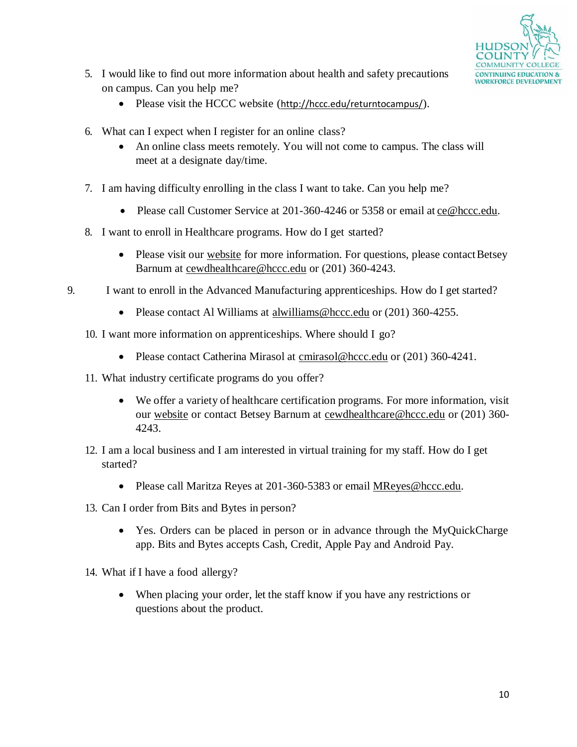

- 5. I would like to find out more information about health and safety precautions on campus. Can you help me?
	- Please visit the HCCC website (<http://hccc.edu/returntocampus/>).
- 6. What can I expect when I register for an online class?
	- An online class meets remotely. You will not come to campus. The class will meet at a designate day/time.
- 7. I am having difficulty enrolling in the class I want to take. Can you help me?
	- Please call Customer Service at 201-360-4246 or 5358 or email at [ce@hccc.edu.](mailto:ce@hccc.edu)
- 8. I want to enroll in Healthcare programs. How do I get started?
	- Please visit our [website](https://www.hccc.edu/continuing-education/health/) for more information. For questions, please contact Betsey Barnum at [cewdhealthcare@hccc.edu](mailto:cewdhealthcare@hccc.edu) or (201) 360-4243.
- 9. I want to enroll in the Advanced Manufacturing apprenticeships. How do I get started?
	- Please contact Al Williams at [alwilliams@hccc.edu](mailto:alwilliams@hccc.edu) or (201) 360-4255.
	- 10. I want more information on apprenticeships. Where should I go?
		- Please contact Catherina Mirasol at [cmirasol@hccc.edu](mailto:cmirasol@hccc.edu) or (201) 360-4241.
	- 11. What industry certificate programs do you offer?
		- We offer a variety of healthcare certification programs. For more information, visit our [website](https://www.hccc.edu/continuing-education/health/) or contact Betsey Barnum at [cewdhealthcare@hccc.edu](mailto:cewdhealthcare@hccc.edu) or (201) 360- 4243.
	- 12. I am a local business and I am interested in virtual training for my staff. How do I get started?
		- Please call Maritza Reyes at 201-360-5383 or email [MReyes@hccc.edu.](mailto:MReyes@hccc.edu)
	- 13. Can I order from Bits and Bytes in person?
		- Yes. Orders can be placed in person or in advance through the MyQuickCharge app. Bits and Bytes accepts Cash, Credit, Apple Pay and Android Pay.
	- 14. What if I have a food allergy?
		- When placing your order, let the staff know if you have any restrictions or questions about the product.